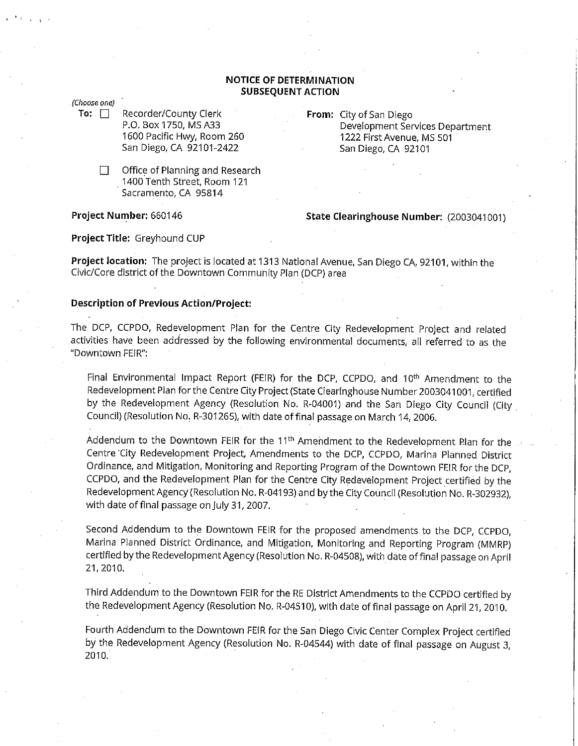# **NOTICE OF DETERMINATION SUBSEQUENT ACTION**

#### (Choose one)

**To:** □ Recorder/County Clerk P.O. Box 1750, MS A33 1600 Pacific Hwy, Room 260 San Diego, CA 92101-2422

> $\Box$  Office of Planning and Research . 1400 Tenth Street, Room 121 Sacramento, CA 95814

**Project Number:** 660146

**From:** City of San Diego Development Services Department 1222 First Avenue, MS 501 San Diego, CA 92101

# **State Clearinghouse Number:** (2003041001)

### **Project Title:** Greyhound CUP

**Project location:** The project is located at 1313 National Avenue, San Diego CA, 92101, within the Civic/Core district of the Downtown Community Plan (DCP) area

# **Description of Previous Action/Project:**

The DCP, CCPDO, Redevelopment Plan for the Centre City Redevelopment Project and related activities have been addressed by the following environmental documents, all referred to as the "Downtown FEIR":

Final Environmental Impact Report (FEIR) for the DCP, CCPDO, and 10<sup>th</sup> Amendment to the Redevelopment Plan for the Centre City Project (State Clearinghouse Number 2003041001, certified by the Redevelopment Agency (Resolution No. R-04001) and the San Diego City Council (City. Council) (Resolution No, R-301265), with date offinal passage on March 14, 2006.

Addendum to the Downtown FEIR for the 11<sup>th</sup> Amendment to the Redevelopment Plan for the Centre City Redevelopment Project, Amendments to the DCP, CCPDO, Marina Planned District Ordinance, and Mitigation, Monitoring and Reporting Program of the Downtown FEIR for the DCP, CCPDO, and the Redevelopment Plan for the Centre City Redevelopment Project certified by the Redevelopment Agency (Resolution No. R-04193) and by the City Council (Resolution No. R-302932), with date of final passage on July 31, 2007.

Second Addendum to the Downtown FEIR for the proposed amendments to the DCP, CCPDO, Marina Planned District Ordinance, and Mitigation, Monitoring and Reporting Program (MMRP) certified by the Redevelopment Agency (Resolution No. R-04508), with date offinal passage on April 21,2010.

Third Addendum to the Downtown FEIR for the RE District Amendments to the CCPDO certified by the Redevelopment Agency (Resolution No. R-04510), with date of final passage on April 21, 2010.

Fourth Addendum to the Downtown FEIR for the San Diego Civic Center Complex Project certified by the Redevelopment Agency (Resolution No. R-04544) with date of final passage on August 3, 2010.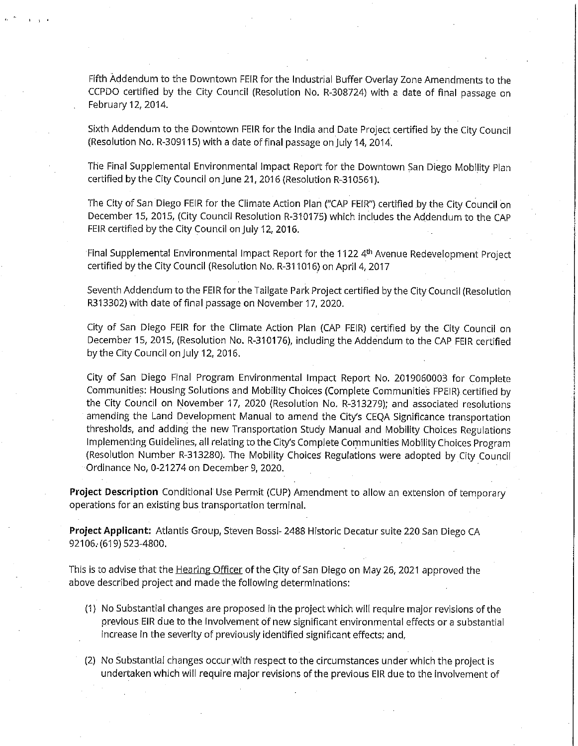Fifth Addendum to the Downtown FEIR for the Industrial Buffer Overlay Zone Amendments to the CCPDO certified by the City Council (Resolution No. R-308724) with a date of final passage on February 12, 2014.

Sixth Addendum to the Downtown FEIR for the India and Date Project certified by the City Council (Resolution No. R-309115) with a date offinal passage on July 14, 2014.

The Final Supplemental Environmental Impact Report for the Downtown San Diego Mobility Plan certified by the City Council on June 21, 2016 (Resolution R-310561 ).

The City of San Diego FEIR for the Climate Action Plan (''CAP FEIR") certified by the City Council on December 15, 2015, (City Council Resolution R-310175) which includes the Addendum to the CAP FEIR certified by the City Council on July 12, 2016.

Final Supplemental Environmental Impact Report for the 1122 4<sup>th</sup> Avenue Redevelopment Project certified by the City Council (Resolution No. R-311016) on April 4, 2017

Seventh Addendum to the FEIR for the Tailgate Park Project certified by the City Council (Resolution R313302) with date of final passage on November 17, 2020.

City of San Diego FEIR for the Climate Action Plan (CAP FEIR) certified by the City Council on December 15, 2015, (Resolution No. R-310176), including the Addendum to the CAP FEIR certified by the City Council on July 12, 2016.

City of San Diego Final Program Environmental Impact Report No. 2019060003 for Complete Communities: Housing Solutions and Mobility Choices (Complete Communities FPEIR) certified by the City Council on November 17, 2020 (Resolution No. R-313279); and associated resolutions amending the Land Development Manual to amend the City's CEQA Significance transportation thresholds, and adding the new Transportation Study Manual and Mobility Choices Regulations Implementing Guidelines, all relating to the City's Complete Communities Mobility Choices Program (Resolution Number R-313280). The Mobility Choices Regulations were adopted by City Council Ordinance No, 0-21274 on December 9, 2020.

**Project Description** Conditional Use Permit (CUP) Amendment to allow an extension of temporary operations for an existing bus transportation terminal.

**Project Applicant:** Atlantis Group, Steven Bossi- 2488 Historic Decatur suite 220 San Diego CA 92106. (619) 523-4800.

This is to advise that the **Hearing Officer** of the City of San Diego on May 26, 2021 approved the above described project and made the following determinations:

- (1) No Substantial changes are proposed in the project which will require major revisions of the previous EIR due to the involvement of new significant environmental effects or a substantial increase in the severity of previously identified significant effects; and,
- (2) No Substantial changes occur.with respect to the circumstances under which the project is undertaken which will require major revisions of the previous EIR due to the involvement of